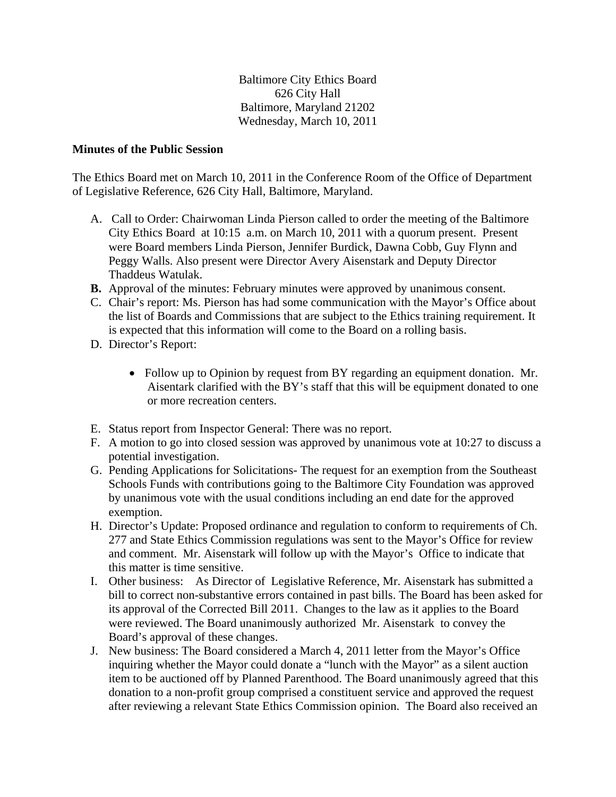Baltimore City Ethics Board 626 City Hall Baltimore, Maryland 21202 Wednesday, March 10, 2011

## **Minutes of the Public Session**

The Ethics Board met on March 10, 2011 in the Conference Room of the Office of Department of Legislative Reference, 626 City Hall, Baltimore, Maryland.

- A. Call to Order: Chairwoman Linda Pierson called to order the meeting of the Baltimore City Ethics Board at 10:15 a.m. on March 10, 2011 with a quorum present. Present were Board members Linda Pierson, Jennifer Burdick, Dawna Cobb, Guy Flynn and Peggy Walls. Also present were Director Avery Aisenstark and Deputy Director Thaddeus Watulak.
- **B.** Approval of the minutes: February minutes were approved by unanimous consent.
- C. Chair's report: Ms. Pierson has had some communication with the Mayor's Office about the list of Boards and Commissions that are subject to the Ethics training requirement. It is expected that this information will come to the Board on a rolling basis.
- D. Director's Report:
	- Follow up to Opinion by request from BY regarding an equipment donation. Mr. Aisentark clarified with the BY's staff that this will be equipment donated to one or more recreation centers.
- E. Status report from Inspector General: There was no report.
- F. A motion to go into closed session was approved by unanimous vote at 10:27 to discuss a potential investigation.
- G. Pending Applications for Solicitations- The request for an exemption from the Southeast Schools Funds with contributions going to the Baltimore City Foundation was approved by unanimous vote with the usual conditions including an end date for the approved exemption.
- H. Director's Update: Proposed ordinance and regulation to conform to requirements of Ch. 277 and State Ethics Commission regulations was sent to the Mayor's Office for review and comment. Mr. Aisenstark will follow up with the Mayor's Office to indicate that this matter is time sensitive.
- I. Other business: As Director of Legislative Reference, Mr. Aisenstark has submitted a bill to correct non-substantive errors contained in past bills. The Board has been asked for its approval of the Corrected Bill 2011. Changes to the law as it applies to the Board were reviewed. The Board unanimously authorized Mr. Aisenstark to convey the Board's approval of these changes.
- J. New business: The Board considered a March 4, 2011 letter from the Mayor's Office inquiring whether the Mayor could donate a "lunch with the Mayor" as a silent auction item to be auctioned off by Planned Parenthood. The Board unanimously agreed that this donation to a non-profit group comprised a constituent service and approved the request after reviewing a relevant State Ethics Commission opinion. The Board also received an